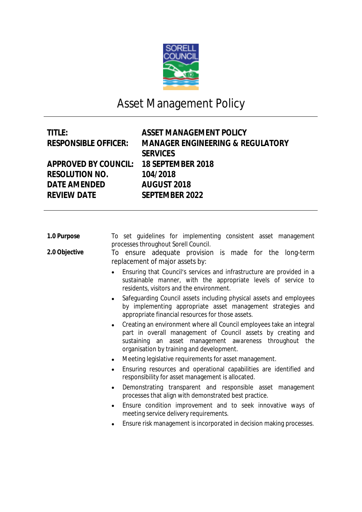

## Asset Management Policy

| <b>ASSET MANAGEMENT POLICY</b>              |
|---------------------------------------------|
| <b>MANAGER ENGINEERING &amp; REGULATORY</b> |
| <b>SERVICES</b>                             |
| 18 SEPTEMBER 2018                           |
| 104/2018                                    |
| <b>AUGUST 2018</b>                          |
| <b>SEPTEMBER 2022</b>                       |
|                                             |

| 1.0 Purpose |  |  | To set guidelines for implementing consistent asset management |  |  |
|-------------|--|--|----------------------------------------------------------------|--|--|
|             |  |  | processes throughout Sorell Council.                           |  |  |

**2.0 Objective** To ensure adequate provision is made for the long-term replacement of major assets by:

- Ensuring that Council's services and infrastructure are provided in a sustainable manner, with the appropriate levels of service to residents, visitors and the environment.
- Safeguarding Council assets including physical assets and employees by implementing appropriate asset management strategies and appropriate financial resources for those assets.
- Creating an environment where all Council employees take an integral part in overall management of Council assets by creating and sustaining an asset management awareness throughout the organisation by training and development.
- Meeting legislative requirements for asset management.
- Ensuring resources and operational capabilities are identified and responsibility for asset management is allocated.
- Demonstrating transparent and responsible asset management processes that align with demonstrated best practice.
- Ensure condition improvement and to seek innovative ways of meeting service delivery requirements.
- Ensure risk management is incorporated in decision making processes.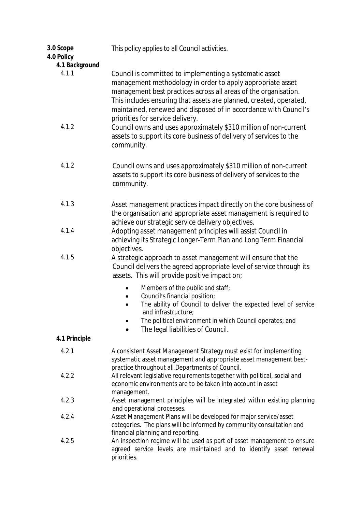| 3.0 Scope<br>4.0 Policy | This policy applies to all Council activities.                                                                                                                                                                                                                                                                                                                         |
|-------------------------|------------------------------------------------------------------------------------------------------------------------------------------------------------------------------------------------------------------------------------------------------------------------------------------------------------------------------------------------------------------------|
| 4.1 Background<br>4.1.1 | Council is committed to implementing a systematic asset<br>management methodology in order to apply appropriate asset<br>management best practices across all areas of the organisation.<br>This includes ensuring that assets are planned, created, operated,<br>maintained, renewed and disposed of in accordance with Council's<br>priorities for service delivery. |
| 4.1.2                   | Council owns and uses approximately \$310 million of non-current<br>assets to support its core business of delivery of services to the<br>community.                                                                                                                                                                                                                   |
| 4.1.2                   | Council owns and uses approximately \$310 million of non-current<br>assets to support its core business of delivery of services to the<br>community.                                                                                                                                                                                                                   |
| 4.1.3                   | Asset management practices impact directly on the core business of<br>the organisation and appropriate asset management is required to<br>achieve our strategic service delivery objectives.                                                                                                                                                                           |
| 4.1.4                   | Adopting asset management principles will assist Council in<br>achieving its Strategic Longer-Term Plan and Long Term Financial<br>objectives.                                                                                                                                                                                                                         |
| 4.1.5                   | A strategic approach to asset management will ensure that the<br>Council delivers the agreed appropriate level of service through its<br>assets. This will provide positive impact on;                                                                                                                                                                                 |
|                         | Members of the public and staff;<br>Council's financial position;<br>٠<br>The ability of Council to deliver the expected level of service<br>and infrastructure;<br>The political environment in which Council operates; and<br>The legal liabilities of Council.                                                                                                      |
| 4.1 Principle           |                                                                                                                                                                                                                                                                                                                                                                        |
| 4.2.1                   | A consistent Asset Management Strategy must exist for implementing<br>systematic asset management and appropriate asset management best-<br>practice throughout all Departments of Council.                                                                                                                                                                            |
| 4.2.2                   | All relevant legislative requirements together with political, social and<br>economic environments are to be taken into account in asset<br>management.                                                                                                                                                                                                                |
| 4.2.3                   | Asset management principles will be integrated within existing planning<br>and operational processes.                                                                                                                                                                                                                                                                  |
| 4.2.4                   | Asset Management Plans will be developed for major service/asset<br>categories. The plans will be informed by community consultation and<br>financial planning and reporting.                                                                                                                                                                                          |
| 4.2.5                   | An inspection regime will be used as part of asset management to ensure<br>agreed service levels are maintained and to identify asset renewal<br>priorities.                                                                                                                                                                                                           |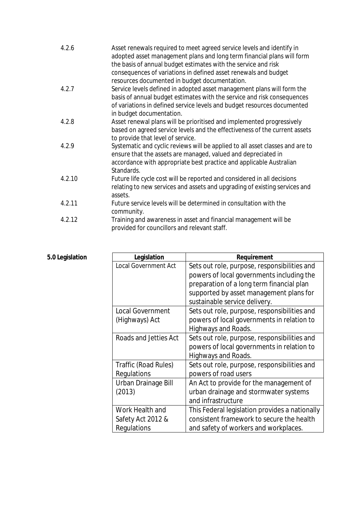| 4.2.6  | Asset renewals required to meet agreed service levels and identify in<br>adopted asset management plans and long term financial plans will form   |
|--------|---------------------------------------------------------------------------------------------------------------------------------------------------|
|        | the basis of annual budget estimates with the service and risk                                                                                    |
|        | consequences of variations in defined asset renewals and budget                                                                                   |
| 4.2.7  | resources documented in budget documentation.                                                                                                     |
|        | Service levels defined in adopted asset management plans will form the<br>basis of annual budget estimates with the service and risk consequences |
|        | of variations in defined service levels and budget resources documented<br>in budget documentation.                                               |
| 4.2.8  | Asset renewal plans will be prioritised and implemented progressively                                                                             |
|        | based on agreed service levels and the effectiveness of the current assets<br>to provide that level of service.                                   |
| 4.2.9  | Systematic and cyclic reviews will be applied to all asset classes and are to<br>ensure that the assets are managed, valued and depreciated in    |
|        | accordance with appropriate best practice and applicable Australian<br>Standards.                                                                 |
| 4.2.10 | Future life cycle cost will be reported and considered in all decisions                                                                           |
|        | relating to new services and assets and upgrading of existing services and<br>assets.                                                             |
| 4.2.11 | Future service levels will be determined in consultation with the<br>community.                                                                   |
| 4.2.12 | Training and awareness in asset and financial management will be<br>provided for councillors and relevant staff.                                  |

| Legislation                 | Requirement                                    |
|-----------------------------|------------------------------------------------|
| <b>Local Government Act</b> | Sets out role, purpose, responsibilities and   |
|                             | powers of local governments including the      |
|                             | preparation of a long term financial plan      |
|                             | supported by asset management plans for        |
|                             | sustainable service delivery.                  |
| <b>Local Government</b>     | Sets out role, purpose, responsibilities and   |
| (Highways) Act              | powers of local governments in relation to     |
|                             | Highways and Roads.                            |
| Roads and Jetties Act       | Sets out role, purpose, responsibilities and   |
|                             | powers of local governments in relation to     |
|                             | Highways and Roads.                            |
| Traffic (Road Rules)        | Sets out role, purpose, responsibilities and   |
| Regulations                 | powers of road users                           |
| Urban Drainage Bill         | An Act to provide for the management of        |
| (2013)                      | urban drainage and stormwater systems          |
|                             | and infrastructure                             |
| Work Health and             | This Federal legislation provides a nationally |
| Safety Act 2012 &           | consistent framework to secure the health      |
| Regulations                 | and safety of workers and workplaces.          |

## **5.0 Legislation**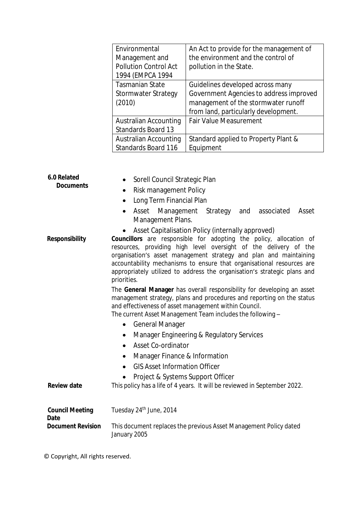| Environmental<br>Management and<br><b>Pollution Control Act</b><br>1994 (EMPCA 1994 | An Act to provide for the management of<br>the environment and the control of<br>pollution in the State.                                                   |
|-------------------------------------------------------------------------------------|------------------------------------------------------------------------------------------------------------------------------------------------------------|
| <b>Tasmanian State</b><br>Stormwater Strategy<br>(2010)                             | Guidelines developed across many<br>Government Agencies to address improved<br>management of the stormwater runoff<br>from land, particularly development. |
| Australian Accounting<br>Standards Board 13                                         | <b>Fair Value Measurement</b>                                                                                                                              |
| Australian Accounting<br><b>Standards Board 116</b>                                 | Standard applied to Property Plant &<br>Equipment                                                                                                          |

| 6.0 Related<br><b>Documents</b>       | Sorell Council Strategic Plan<br>Risk management Policy<br>$\bullet$<br>Long Term Financial Plan<br>Asset Management Strategy and associated<br>Asset<br>$\bullet$                                                                                                                                                                                                                                                                   |
|---------------------------------------|--------------------------------------------------------------------------------------------------------------------------------------------------------------------------------------------------------------------------------------------------------------------------------------------------------------------------------------------------------------------------------------------------------------------------------------|
|                                       | Management Plans.                                                                                                                                                                                                                                                                                                                                                                                                                    |
| <b>Responsibility</b>                 | Asset Capitalisation Policy (internally approved)<br>Councillors are responsible for adopting the policy, allocation of<br>resources, providing high level oversight of the delivery of the<br>organisation's asset management strategy and plan and maintaining<br>accountability mechanisms to ensure that organisational resources are<br>appropriately utilized to address the organisation's strategic plans and<br>priorities. |
|                                       | The General Manager has overall responsibility for developing an asset<br>management strategy, plans and procedures and reporting on the status<br>and effectiveness of asset management within Council.<br>The current Asset Management Team includes the following -                                                                                                                                                               |
|                                       | <b>General Manager</b><br>$\bullet$                                                                                                                                                                                                                                                                                                                                                                                                  |
|                                       | Manager Engineering & Regulatory Services<br>$\bullet$                                                                                                                                                                                                                                                                                                                                                                               |
|                                       | Asset Co-ordinator<br>$\bullet$<br>Manager Finance & Information<br>$\bullet$                                                                                                                                                                                                                                                                                                                                                        |
|                                       | <b>GIS Asset Information Officer</b>                                                                                                                                                                                                                                                                                                                                                                                                 |
| <b>Review date</b>                    | Project & Systems Support Officer<br>This policy has a life of 4 years. It will be reviewed in September 2022.                                                                                                                                                                                                                                                                                                                       |
| <b>Council Meeting</b><br><b>Date</b> | Tuesday 24 <sup>th</sup> June, 2014                                                                                                                                                                                                                                                                                                                                                                                                  |
| <b>Document Revision</b>              | This document replaces the previous Asset Management Policy dated<br>January 2005                                                                                                                                                                                                                                                                                                                                                    |

© Copyright, All rights reserved.